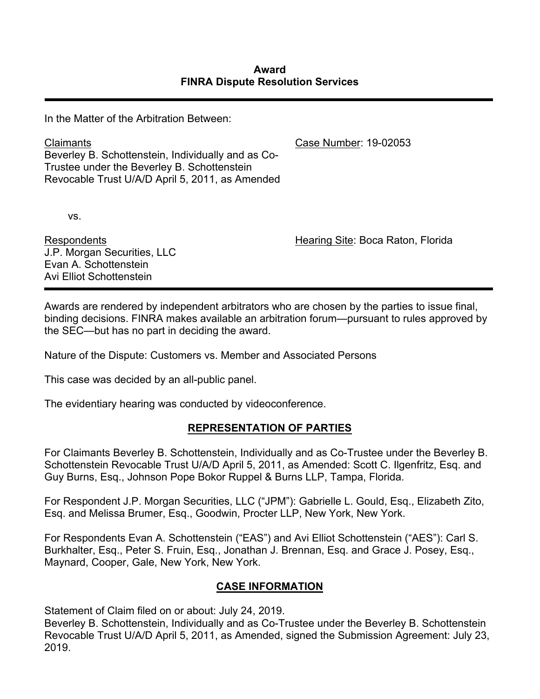In the Matter of the Arbitration Between:

Claimants Beverley B. Schottenstein, Individually and as Co-Trustee under the Beverley B. Schottenstein Revocable Trust U/A/D April 5, 2011, as Amended

vs.

Respondents J.P. Morgan Securities, LLC Evan A. Schottenstein Avi Elliot Schottenstein

Case Number: 19-02053

Hearing Site: Boca Raton, Florida

Awards are rendered by independent arbitrators who are chosen by the parties to issue final, binding decisions. FINRA makes available an arbitration forum—pursuant to rules approved by the SEC—but has no part in deciding the award.

Nature of the Dispute: Customers vs. Member and Associated Persons

This case was decided by an all-public panel.

The evidentiary hearing was conducted by videoconference.

# **REPRESENTATION OF PARTIES**

For Claimants Beverley B. Schottenstein, Individually and as Co-Trustee under the Beverley B. Schottenstein Revocable Trust U/A/D April 5, 2011, as Amended: Scott C. Ilgenfritz, Esq. and Guy Burns, Esq., Johnson Pope Bokor Ruppel & Burns LLP, Tampa, Florida.

For Respondent J.P. Morgan Securities, LLC ("JPM"): Gabrielle L. Gould, Esq., Elizabeth Zito, Esq. and Melissa Brumer, Esq., Goodwin, Procter LLP, New York, New York.

For Respondents Evan A. Schottenstein ("EAS") and Avi Elliot Schottenstein ("AES"): Carl S. Burkhalter, Esq., Peter S. Fruin, Esq., Jonathan J. Brennan, Esq. and Grace J. Posey, Esq., Maynard, Cooper, Gale, New York, New York.

# **CASE INFORMATION**

Statement of Claim filed on or about: July 24, 2019.

Beverley B. Schottenstein, Individually and as Co-Trustee under the Beverley B. Schottenstein Revocable Trust U/A/D April 5, 2011, as Amended, signed the Submission Agreement: July 23, 2019.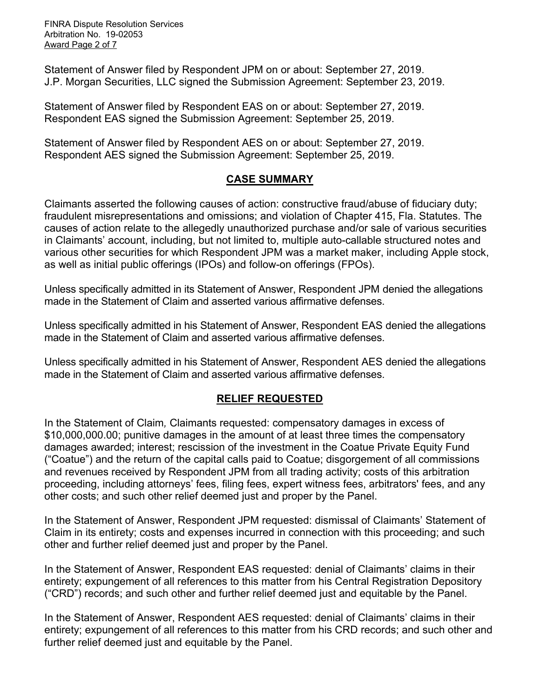FINRA Dispute Resolution Services Arbitration No. 19-02053 Award Page 2 of 7

Statement of Answer filed by Respondent JPM on or about: September 27, 2019. J.P. Morgan Securities, LLC signed the Submission Agreement: September 23, 2019.

Statement of Answer filed by Respondent EAS on or about: September 27, 2019. Respondent EAS signed the Submission Agreement: September 25, 2019.

Statement of Answer filed by Respondent AES on or about: September 27, 2019. Respondent AES signed the Submission Agreement: September 25, 2019.

## **CASE SUMMARY**

Claimants asserted the following causes of action: constructive fraud/abuse of fiduciary duty; fraudulent misrepresentations and omissions; and violation of Chapter 415, Fla. Statutes. The causes of action relate to the allegedly unauthorized purchase and/or sale of various securities in Claimants' account, including, but not limited to, multiple auto-callable structured notes and various other securities for which Respondent JPM was a market maker, including Apple stock, as well as initial public offerings (IPOs) and follow-on offerings (FPOs).

Unless specifically admitted in its Statement of Answer, Respondent JPM denied the allegations made in the Statement of Claim and asserted various affirmative defenses.

Unless specifically admitted in his Statement of Answer, Respondent EAS denied the allegations made in the Statement of Claim and asserted various affirmative defenses.

Unless specifically admitted in his Statement of Answer, Respondent AES denied the allegations made in the Statement of Claim and asserted various affirmative defenses.

# **RELIEF REQUESTED**

In the Statement of Claim*,* Claimants requested: compensatory damages in excess of \$10,000,000.00; punitive damages in the amount of at least three times the compensatory damages awarded; interest; rescission of the investment in the Coatue Private Equity Fund ("Coatue") and the return of the capital calls paid to Coatue; disgorgement of all commissions and revenues received by Respondent JPM from all trading activity; costs of this arbitration proceeding, including attorneys' fees, filing fees, expert witness fees, arbitrators' fees, and any other costs; and such other relief deemed just and proper by the Panel.

In the Statement of Answer, Respondent JPM requested: dismissal of Claimants' Statement of Claim in its entirety; costs and expenses incurred in connection with this proceeding; and such other and further relief deemed just and proper by the Panel.

In the Statement of Answer, Respondent EAS requested: denial of Claimants' claims in their entirety; expungement of all references to this matter from his Central Registration Depository ("CRD") records; and such other and further relief deemed just and equitable by the Panel.

In the Statement of Answer, Respondent AES requested: denial of Claimants' claims in their entirety; expungement of all references to this matter from his CRD records; and such other and further relief deemed just and equitable by the Panel.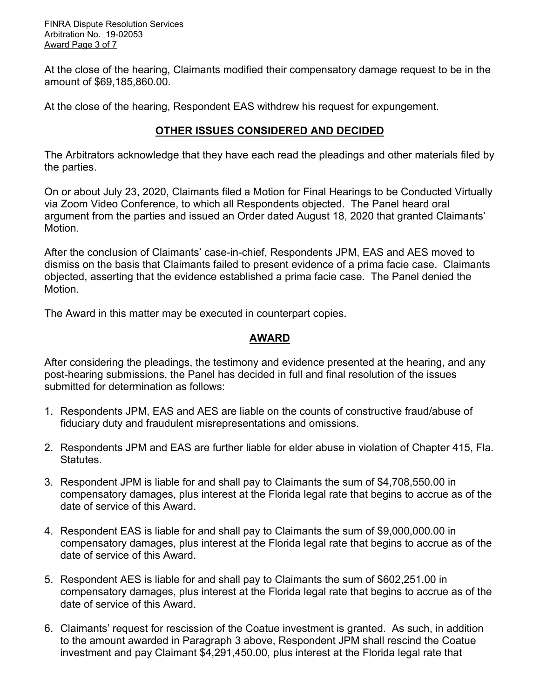FINRA Dispute Resolution Services Arbitration No. 19-02053 Award Page 3 of 7

At the close of the hearing, Claimants modified their compensatory damage request to be in the amount of \$69,185,860.00.

At the close of the hearing, Respondent EAS withdrew his request for expungement.

## **OTHER ISSUES CONSIDERED AND DECIDED**

The Arbitrators acknowledge that they have each read the pleadings and other materials filed by the parties.

On or about July 23, 2020, Claimants filed a Motion for Final Hearings to be Conducted Virtually via Zoom Video Conference, to which all Respondents objected. The Panel heard oral argument from the parties and issued an Order dated August 18, 2020 that granted Claimants' Motion.

After the conclusion of Claimants' case-in-chief, Respondents JPM, EAS and AES moved to dismiss on the basis that Claimants failed to present evidence of a prima facie case. Claimants objected, asserting that the evidence established a prima facie case. The Panel denied the Motion.

The Award in this matter may be executed in counterpart copies.

## **AWARD**

After considering the pleadings, the testimony and evidence presented at the hearing, and any post-hearing submissions, the Panel has decided in full and final resolution of the issues submitted for determination as follows:

- 1. Respondents JPM, EAS and AES are liable on the counts of constructive fraud/abuse of fiduciary duty and fraudulent misrepresentations and omissions.
- 2. Respondents JPM and EAS are further liable for elder abuse in violation of Chapter 415, Fla. **Statutes**
- 3. Respondent JPM is liable for and shall pay to Claimants the sum of \$4,708,550.00 in compensatory damages, plus interest at the Florida legal rate that begins to accrue as of the date of service of this Award.
- 4. Respondent EAS is liable for and shall pay to Claimants the sum of \$9,000,000.00 in compensatory damages, plus interest at the Florida legal rate that begins to accrue as of the date of service of this Award.
- 5. Respondent AES is liable for and shall pay to Claimants the sum of \$602,251.00 in compensatory damages, plus interest at the Florida legal rate that begins to accrue as of the date of service of this Award.
- 6. Claimants' request for rescission of the Coatue investment is granted. As such, in addition to the amount awarded in Paragraph 3 above, Respondent JPM shall rescind the Coatue investment and pay Claimant \$4,291,450.00, plus interest at the Florida legal rate that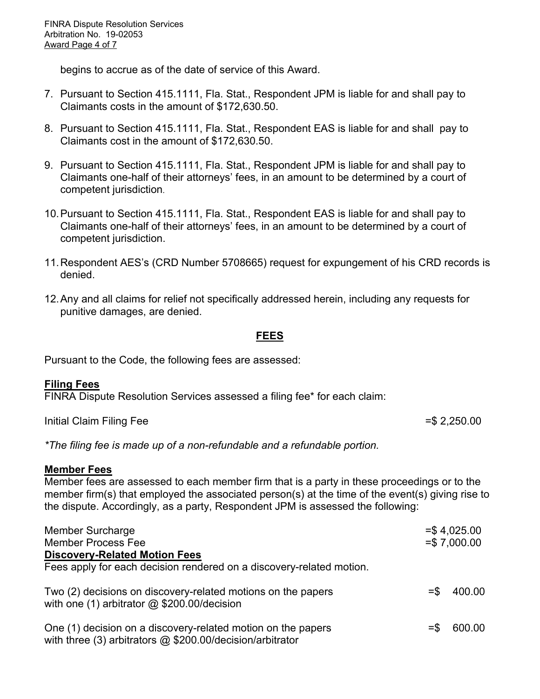begins to accrue as of the date of service of this Award.

- 7. Pursuant to Section 415.1111, Fla. Stat., Respondent JPM is liable for and shall pay to Claimants costs in the amount of \$172,630.50.
- 8. Pursuant to Section 415.1111, Fla. Stat., Respondent EAS is liable for and shall pay to Claimants cost in the amount of \$172,630.50.
- 9. Pursuant to Section 415.1111, Fla. Stat., Respondent JPM is liable for and shall pay to Claimants one-half of their attorneys' fees, in an amount to be determined by a court of competent jurisdiction.
- 10.Pursuant to Section 415.1111, Fla. Stat., Respondent EAS is liable for and shall pay to Claimants one-half of their attorneys' fees, in an amount to be determined by a court of competent jurisdiction.
- 11.Respondent AES's (CRD Number 5708665) request for expungement of his CRD records is denied.
- 12.Any and all claims for relief not specifically addressed herein, including any requests for punitive damages, are denied.

#### **FEES**

Pursuant to the Code, the following fees are assessed:

#### **Filing Fees**

FINRA Dispute Resolution Services assessed a filing fee\* for each claim:

Initial Claim Filing Fee  $=$ \$ 2,250.00

*\*The filing fee is made up of a non-refundable and a refundable portion.*

#### **Member Fees**

Member fees are assessed to each member firm that is a party in these proceedings or to the member firm(s) that employed the associated person(s) at the time of the event(s) giving rise to the dispute. Accordingly, as a party, Respondent JPM is assessed the following:

| <b>Member Surcharge</b><br><b>Member Process Fee</b>                                                                        |        | $=$ \$4,025.00<br>$= $7,000.00$ |
|-----------------------------------------------------------------------------------------------------------------------------|--------|---------------------------------|
| <b>Discovery-Related Motion Fees</b><br>Fees apply for each decision rendered on a discovery-related motion.                |        |                                 |
| Two (2) decisions on discovery-related motions on the papers<br>with one (1) arbitrator $@$ \$200.00/decision               | $=$ \$ | 400.00                          |
| One (1) decision on a discovery-related motion on the papers<br>with three (3) arbitrators $@$ \$200.00/decision/arbitrator | $=$ S  | 600.00                          |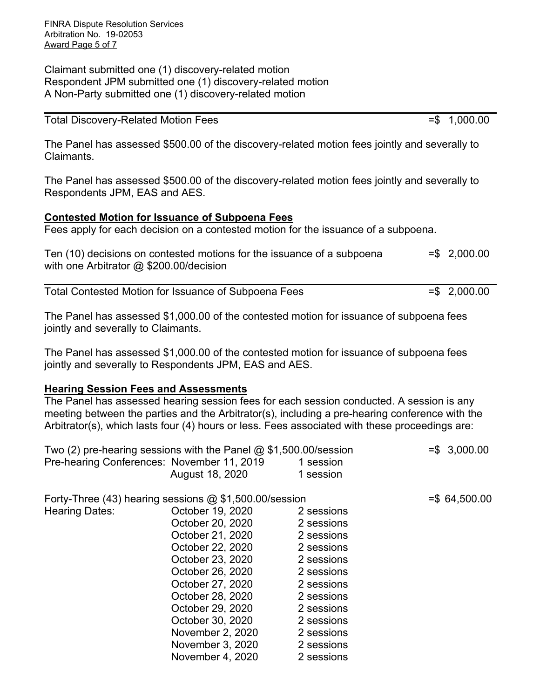FINRA Dispute Resolution Services Arbitration No. 19-02053 Award Page 5 of 7

Claimant submitted one (1) discovery-related motion Respondent JPM submitted one (1) discovery-related motion A Non-Party submitted one (1) discovery-related motion

| <b>Total Discovery-Related Motion Fees</b> | $= $ 1,000.00$ |
|--------------------------------------------|----------------|
|--------------------------------------------|----------------|

The Panel has assessed \$500.00 of the discovery-related motion fees jointly and severally to Claimants.

The Panel has assessed \$500.00 of the discovery-related motion fees jointly and severally to Respondents JPM, EAS and AES.

### **Contested Motion for Issuance of Subpoena Fees**

Fees apply for each decision on a contested motion for the issuance of a subpoena.

| Ten (10) decisions on contested motions for the issuance of a subpoena | $= $ 2,000.00$ |
|------------------------------------------------------------------------|----------------|
| with one Arbitrator $@$ \$200.00/decision                              |                |

Total Contested Motion for Issuance of Subpoena Fees =  $\frac{1}{5}$  2,000.00

The Panel has assessed \$1,000.00 of the contested motion for issuance of subpoena fees jointly and severally to Claimants.

The Panel has assessed \$1,000.00 of the contested motion for issuance of subpoena fees jointly and severally to Respondents JPM, EAS and AES.

### **Hearing Session Fees and Assessments**

The Panel has assessed hearing session fees for each session conducted. A session is any meeting between the parties and the Arbitrator(s), including a pre-hearing conference with the Arbitrator(s), which lasts four (4) hours or less. Fees associated with these proceedings are:

| Two (2) pre-hearing sessions with the Panel $@$ \$1,500.00/session |                  |            | $= $3,000.00$ |
|--------------------------------------------------------------------|------------------|------------|---------------|
| Pre-hearing Conferences: November 11, 2019                         |                  | 1 session  |               |
|                                                                    | August 18, 2020  | 1 session  |               |
| Forty-Three $(43)$ hearing sessions $@$ \$1,500.00/session         | $= $64,500.00$   |            |               |
| Hearing Dates:                                                     | October 19, 2020 | 2 sessions |               |
|                                                                    | October 20, 2020 | 2 sessions |               |
|                                                                    | October 21, 2020 | 2 sessions |               |
|                                                                    | October 22, 2020 | 2 sessions |               |
|                                                                    | October 23, 2020 | 2 sessions |               |
|                                                                    | October 26, 2020 | 2 sessions |               |
|                                                                    | October 27, 2020 | 2 sessions |               |
|                                                                    | October 28, 2020 | 2 sessions |               |
|                                                                    | October 29, 2020 | 2 sessions |               |
|                                                                    | October 30, 2020 | 2 sessions |               |
|                                                                    | November 2, 2020 | 2 sessions |               |
|                                                                    | November 3, 2020 | 2 sessions |               |
|                                                                    | November 4, 2020 | 2 sessions |               |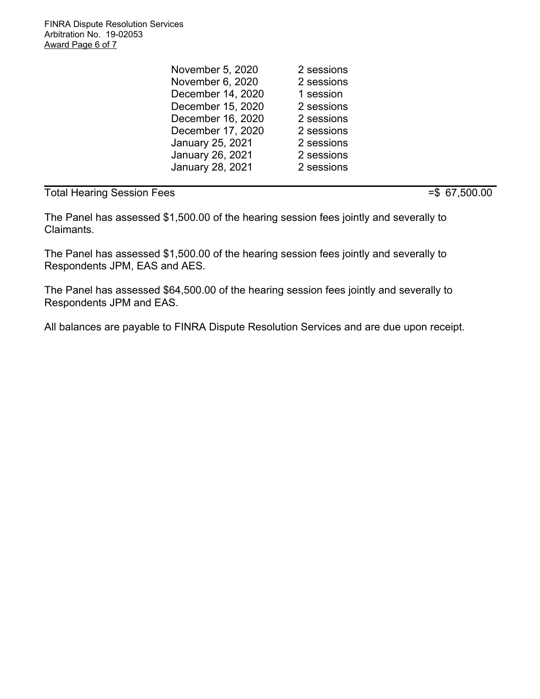FINRA Dispute Resolution Services Arbitration No. 19-02053 Award Page 6 of 7

> November 5, 2020 November 6, 2020 December 14, 2020 December 15, 2020 December 16, 2020 December 17, 2020 January 25, 2021 January 26, 2021 January 28, 2021 2 sessions 2 sessions 1 session 2 sessions 2 sessions 2 sessions 2 sessions 2 sessions 2 sessions

# Total Hearing Session Fees = \$ 67,500.00

The Panel has assessed \$1,500.00 of the hearing session fees jointly and severally to Claimants.

The Panel has assessed \$1,500.00 of the hearing session fees jointly and severally to Respondents JPM, EAS and AES.

The Panel has assessed \$64,500.00 of the hearing session fees jointly and severally to Respondents JPM and EAS.

All balances are payable to FINRA Dispute Resolution Services and are due upon receipt.